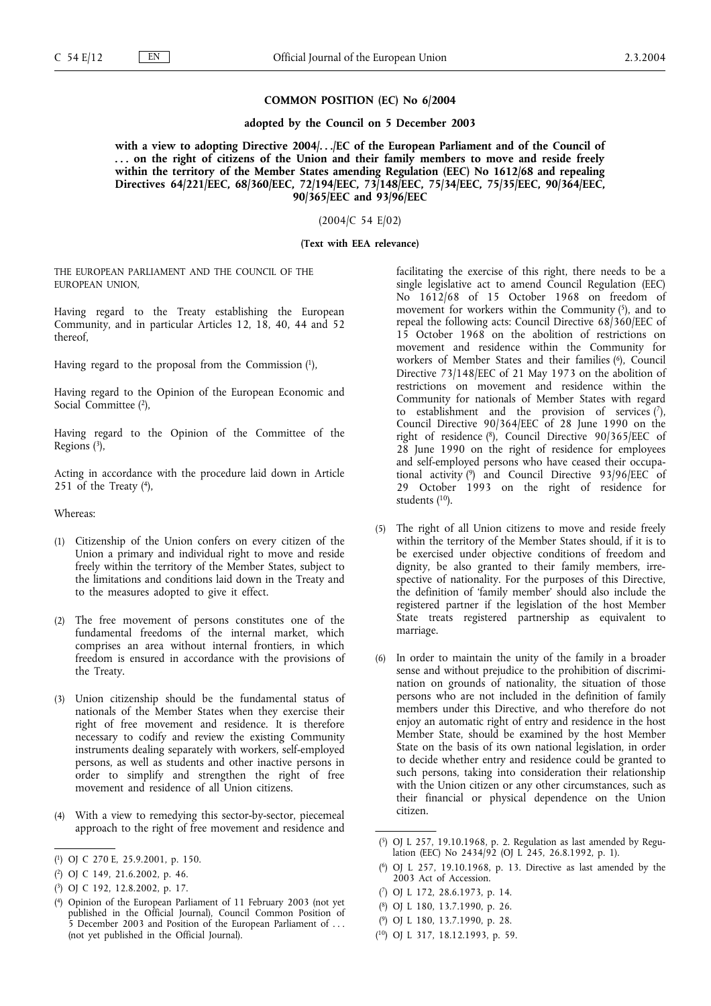### **COMMON POSITION (EC) No 6/2004**

### **adopted by the Council on 5 December 2003**

**with a view to adopting Directive 2004/. . ./EC of the European Parliament and of the Council of . . . on the right of citizens of the Union and their family members to move and reside freely within the territory of the Member States amending Regulation (EEC) No 1612/68 and repealing Directives 64/221/EEC, 68/360/EEC, 72/194/EEC, 73/148/EEC, 75/34/EEC, 75/35/EEC, 90/364/EEC, 90/365/EEC and 93/96/EEC**

## (2004/C 54 E/02)

### **(Text with EEA relevance)**

THE EUROPEAN PARLIAMENT AND THE COUNCIL OF THE EUROPEAN UNION,

Having regard to the Treaty establishing the European Community, and in particular Articles 12, 18, 40, 44 and 52 thereof,

Having regard to the proposal from the Commission  $(1)$ ,

Having regard to the Opinion of the European Economic and Social Committee (2),

Having regard to the Opinion of the Committee of the Regions (3),

Acting in accordance with the procedure laid down in Article 251 of the Treaty  $(4)$ ,

Whereas:

- (1) Citizenship of the Union confers on every citizen of the Union a primary and individual right to move and reside freely within the territory of the Member States, subject to the limitations and conditions laid down in the Treaty and to the measures adopted to give it effect.
- (2) The free movement of persons constitutes one of the fundamental freedoms of the internal market, which comprises an area without internal frontiers, in which freedom is ensured in accordance with the provisions of the Treaty.
- (3) Union citizenship should be the fundamental status of nationals of the Member States when they exercise their right of free movement and residence. It is therefore necessary to codify and review the existing Community instruments dealing separately with workers, self-employed persons, as well as students and other inactive persons in order to simplify and strengthen the right of free movement and residence of all Union citizens.
- (4) With a view to remedying this sector-by-sector, piecemeal approach to the right of free movement and residence and

facilitating the exercise of this right, there needs to be a single legislative act to amend Council Regulation (EEC) No 1612/68 of 15 October 1968 on freedom of movement for workers within the Community  $(5)$ , and to repeal the following acts: Council Directive 68/360/EEC of 15 October 1968 on the abolition of restrictions on movement and residence within the Community for workers of Member States and their families (6), Council Directive 73/148/EEC of 21 May 1973 on the abolition of restrictions on movement and residence within the Community for nationals of Member States with regard to establishment and the provision of services  $(7)$ , Council Directive 90/364/EEC of 28 June 1990 on the right of residence (8), Council Directive 90/365/EEC of 28 June 1990 on the right of residence for employees and self-employed persons who have ceased their occupational activity (9) and Council Directive 93/96/EEC of 29 October 1993 on the right of residence for students (10).

- (5) The right of all Union citizens to move and reside freely within the territory of the Member States should, if it is to be exercised under objective conditions of freedom and dignity, be also granted to their family members, irrespective of nationality. For the purposes of this Directive, the definition of 'family member' should also include the registered partner if the legislation of the host Member State treats registered partnership as equivalent to marriage.
- (6) In order to maintain the unity of the family in a broader sense and without prejudice to the prohibition of discrimination on grounds of nationality, the situation of those persons who are not included in the definition of family members under this Directive, and who therefore do not enjoy an automatic right of entry and residence in the host Member State, should be examined by the host Member State on the basis of its own national legislation, in order to decide whether entry and residence could be granted to such persons, taking into consideration their relationship with the Union citizen or any other circumstances, such as their financial or physical dependence on the Union citizen.

- ( 7) OJ L 172, 28.6.1973, p. 14.
- ( 8) OJ L 180, 13.7.1990, p. 26.
- ( 9) OJ L 180, 13.7.1990, p. 28.
- ( 10) OJ L 317, 18.12.1993, p. 59.

<sup>(</sup> 1) OJ C 270 E, 25.9.2001, p. 150.

<sup>(</sup> 2) OJ C 149, 21.6.2002, p. 46.

<sup>(</sup> 3) OJ C 192, 12.8.2002, p. 17.

<sup>(</sup> 4) Opinion of the European Parliament of 11 February 2003 (not yet published in the Official Journal), Council Common Position of 5 December 2003 and Position of the European Parliament of . . . (not yet published in the Official Journal).

<sup>(</sup> 5) OJ L 257, 19.10.1968, p. 2. Regulation as last amended by Regulation (EEC) No 2434/92 (OJ L 245, 26.8.1992, p. 1).

<sup>(</sup> 6) OJ L 257, 19.10.1968, p. 13. Directive as last amended by the 2003 Act of Accession.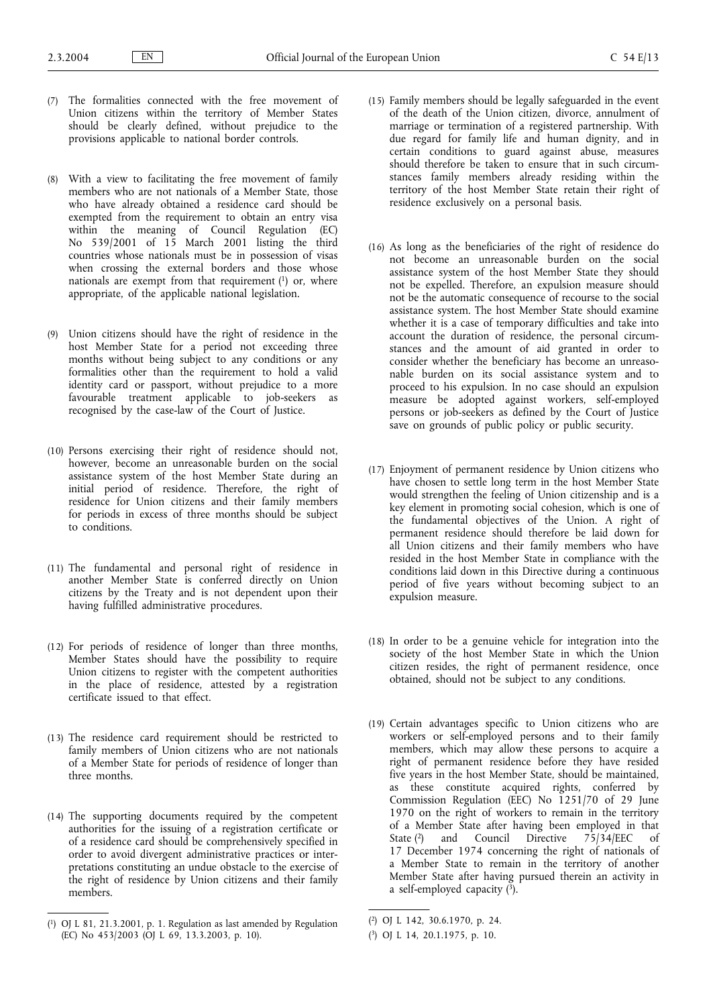- (7) The formalities connected with the free movement of Union citizens within the territory of Member States should be clearly defined, without prejudice to the provisions applicable to national border controls.
- (8) With a view to facilitating the free movement of family members who are not nationals of a Member State, those who have already obtained a residence card should be exempted from the requirement to obtain an entry visa within the meaning of Council Regulation (EC) No 539/2001 of 15 March 2001 listing the third countries whose nationals must be in possession of visas when crossing the external borders and those whose nationals are exempt from that requirement  $(1)$  or, where appropriate, of the applicable national legislation.
- (9) Union citizens should have the right of residence in the host Member State for a period not exceeding three months without being subject to any conditions or any formalities other than the requirement to hold a valid identity card or passport, without prejudice to a more favourable treatment applicable to job-seekers as recognised by the case-law of the Court of Justice.
- (10) Persons exercising their right of residence should not, however, become an unreasonable burden on the social assistance system of the host Member State during an initial period of residence. Therefore, the right of residence for Union citizens and their family members for periods in excess of three months should be subject to conditions.
- (11) The fundamental and personal right of residence in another Member State is conferred directly on Union citizens by the Treaty and is not dependent upon their having fulfilled administrative procedures.
- (12) For periods of residence of longer than three months, Member States should have the possibility to require Union citizens to register with the competent authorities in the place of residence, attested by a registration certificate issued to that effect.
- (13) The residence card requirement should be restricted to family members of Union citizens who are not nationals of a Member State for periods of residence of longer than three months.
- (14) The supporting documents required by the competent authorities for the issuing of a registration certificate or of a residence card should be comprehensively specified in order to avoid divergent administrative practices or interpretations constituting an undue obstacle to the exercise of the right of residence by Union citizens and their family members.
- (15) Family members should be legally safeguarded in the event of the death of the Union citizen, divorce, annulment of marriage or termination of a registered partnership. With due regard for family life and human dignity, and in certain conditions to guard against abuse, measures should therefore be taken to ensure that in such circumstances family members already residing within the territory of the host Member State retain their right of residence exclusively on a personal basis.
- (16) As long as the beneficiaries of the right of residence do not become an unreasonable burden on the social assistance system of the host Member State they should not be expelled. Therefore, an expulsion measure should not be the automatic consequence of recourse to the social assistance system. The host Member State should examine whether it is a case of temporary difficulties and take into account the duration of residence, the personal circumstances and the amount of aid granted in order to consider whether the beneficiary has become an unreasonable burden on its social assistance system and to proceed to his expulsion. In no case should an expulsion measure be adopted against workers, self-employed persons or job-seekers as defined by the Court of Justice save on grounds of public policy or public security.
- (17) Enjoyment of permanent residence by Union citizens who have chosen to settle long term in the host Member State would strengthen the feeling of Union citizenship and is a key element in promoting social cohesion, which is one of the fundamental objectives of the Union. A right of permanent residence should therefore be laid down for all Union citizens and their family members who have resided in the host Member State in compliance with the conditions laid down in this Directive during a continuous period of five years without becoming subject to an expulsion measure.
- (18) In order to be a genuine vehicle for integration into the society of the host Member State in which the Union citizen resides, the right of permanent residence, once obtained, should not be subject to any conditions.
- (19) Certain advantages specific to Union citizens who are workers or self-employed persons and to their family members, which may allow these persons to acquire a right of permanent residence before they have resided five years in the host Member State, should be maintained, as these constitute acquired rights, conferred by Commission Regulation (EEC) No 1251/70 of 29 June 1970 on the right of workers to remain in the territory of a Member State after having been employed in that State (2) and Council Directive 75/34/EEC of 17 December 1974 concerning the right of nationals of a Member State to remain in the territory of another Member State after having pursued therein an activity in a self-employed capacity  $(3)$ .

<sup>(</sup> 1) OJ L 81, 21.3.2001, p. 1. Regulation as last amended by Regulation (EC) No 453/2003 (OJ L 69, 13.3.2003, p. 10).

<sup>(</sup> 2) OJ L 142, 30.6.1970, p. 24.

<sup>(</sup> 3) OJ L 14, 20.1.1975, p. 10.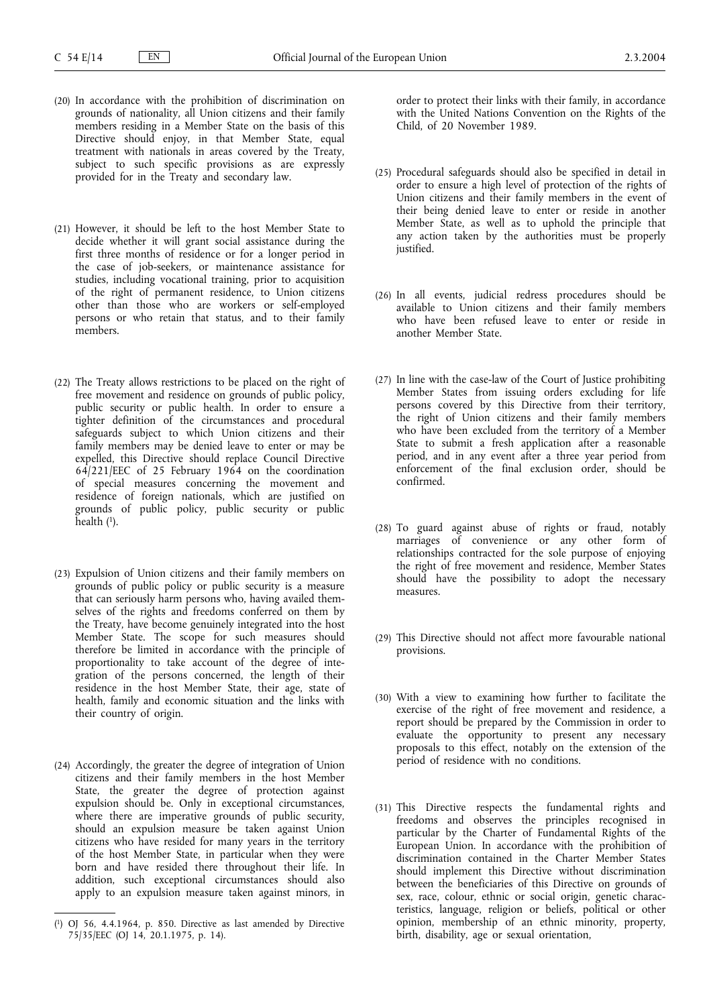- (20) In accordance with the prohibition of discrimination on grounds of nationality, all Union citizens and their family members residing in a Member State on the basis of this Directive should enjoy, in that Member State, equal treatment with nationals in areas covered by the Treaty, subject to such specific provisions as are expressly provided for in the Treaty and secondary law.
- (21) However, it should be left to the host Member State to decide whether it will grant social assistance during the first three months of residence or for a longer period in the case of job-seekers, or maintenance assistance for studies, including vocational training, prior to acquisition of the right of permanent residence, to Union citizens other than those who are workers or self-employed persons or who retain that status, and to their family members.
- (22) The Treaty allows restrictions to be placed on the right of free movement and residence on grounds of public policy, public security or public health. In order to ensure a tighter definition of the circumstances and procedural safeguards subject to which Union citizens and their family members may be denied leave to enter or may be expelled, this Directive should replace Council Directive  $64/221/EEC$  of 25 February 1964 on the coordination of special measures concerning the movement and residence of foreign nationals, which are justified on grounds of public policy, public security or public health  $(1)$ .
- (23) Expulsion of Union citizens and their family members on grounds of public policy or public security is a measure that can seriously harm persons who, having availed themselves of the rights and freedoms conferred on them by the Treaty, have become genuinely integrated into the host Member State. The scope for such measures should therefore be limited in accordance with the principle of proportionality to take account of the degree of integration of the persons concerned, the length of their residence in the host Member State, their age, state of health, family and economic situation and the links with their country of origin.
- (24) Accordingly, the greater the degree of integration of Union citizens and their family members in the host Member State, the greater the degree of protection against expulsion should be. Only in exceptional circumstances, where there are imperative grounds of public security, should an expulsion measure be taken against Union citizens who have resided for many years in the territory of the host Member State, in particular when they were born and have resided there throughout their life. In addition, such exceptional circumstances should also apply to an expulsion measure taken against minors, in

order to protect their links with their family, in accordance with the United Nations Convention on the Rights of the Child, of 20 November 1989.

- (25) Procedural safeguards should also be specified in detail in order to ensure a high level of protection of the rights of Union citizens and their family members in the event of their being denied leave to enter or reside in another Member State, as well as to uphold the principle that any action taken by the authorities must be properly justified.
- (26) In all events, judicial redress procedures should be available to Union citizens and their family members who have been refused leave to enter or reside in another Member State.
- (27) In line with the case-law of the Court of Justice prohibiting Member States from issuing orders excluding for life persons covered by this Directive from their territory, the right of Union citizens and their family members who have been excluded from the territory of a Member State to submit a fresh application after a reasonable period, and in any event after a three year period from enforcement of the final exclusion order, should be confirmed.
- (28) To guard against abuse of rights or fraud, notably marriages of convenience or any other form of relationships contracted for the sole purpose of enjoying the right of free movement and residence, Member States should have the possibility to adopt the necessary measures.
- (29) This Directive should not affect more favourable national provisions.
- (30) With a view to examining how further to facilitate the exercise of the right of free movement and residence, a report should be prepared by the Commission in order to evaluate the opportunity to present any necessary proposals to this effect, notably on the extension of the period of residence with no conditions.
- (31) This Directive respects the fundamental rights and freedoms and observes the principles recognised in particular by the Charter of Fundamental Rights of the European Union. In accordance with the prohibition of discrimination contained in the Charter Member States should implement this Directive without discrimination between the beneficiaries of this Directive on grounds of sex, race, colour, ethnic or social origin, genetic characteristics, language, religion or beliefs, political or other opinion, membership of an ethnic minority, property, birth, disability, age or sexual orientation,

<sup>(</sup> 1) OJ 56, 4.4.1964, p. 850. Directive as last amended by Directive 75/35/EEC (OJ 14, 20.1.1975, p. 14).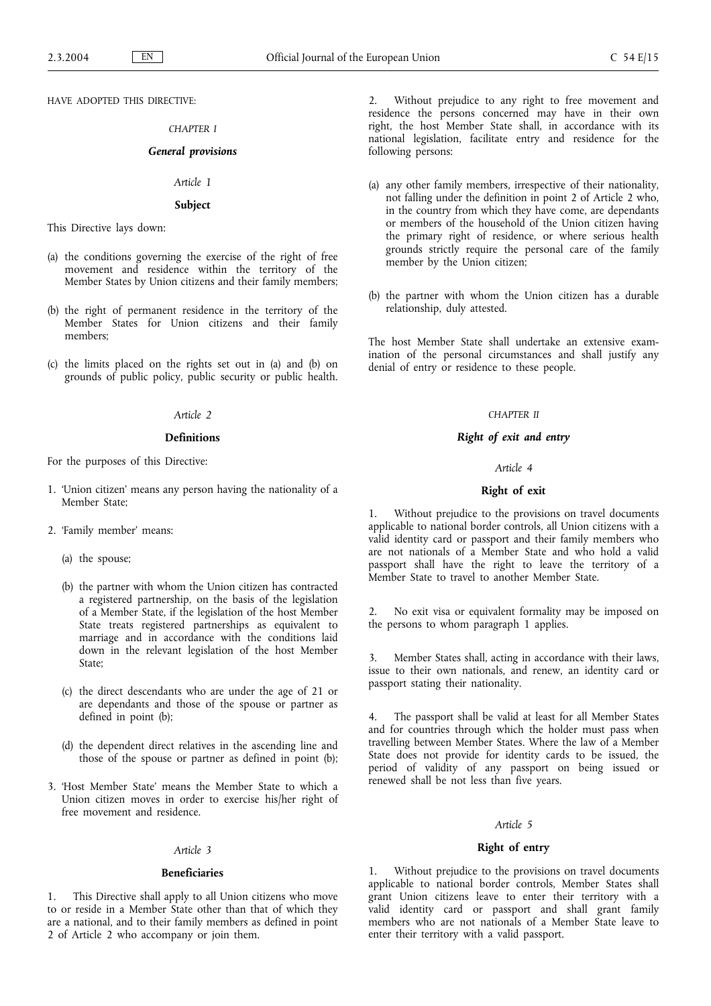HAVE ADOPTED THIS DIRECTIVE:

## *CHAPTER I*

# *General provisions*

## *Article 1*

## **Subject**

This Directive lays down:

- (a) the conditions governing the exercise of the right of free movement and residence within the territory of the Member States by Union citizens and their family members;
- (b) the right of permanent residence in the territory of the Member States for Union citizens and their family members;
- (c) the limits placed on the rights set out in (a) and (b) on grounds of public policy, public security or public health.

#### *Article 2*

## **Definitions**

For the purposes of this Directive:

- 1. 'Union citizen' means any person having the nationality of a Member State;
- 2. 'Family member' means:
	- (a) the spouse;
	- (b) the partner with whom the Union citizen has contracted a registered partnership, on the basis of the legislation of a Member State, if the legislation of the host Member State treats registered partnerships as equivalent to marriage and in accordance with the conditions laid down in the relevant legislation of the host Member State;
	- (c) the direct descendants who are under the age of 21 or are dependants and those of the spouse or partner as defined in point (b);
	- (d) the dependent direct relatives in the ascending line and those of the spouse or partner as defined in point (b);
- 3. 'Host Member State' means the Member State to which a Union citizen moves in order to exercise his/her right of free movement and residence.

#### *Article 3*

## **Beneficiaries**

1. This Directive shall apply to all Union citizens who move to or reside in a Member State other than that of which they are a national, and to their family members as defined in point 2 of Article 2 who accompany or join them.

Without prejudice to any right to free movement and residence the persons concerned may have in their own right, the host Member State shall, in accordance with its national legislation, facilitate entry and residence for the following persons:

- (a) any other family members, irrespective of their nationality, not falling under the definition in point 2 of Article 2 who, in the country from which they have come, are dependants or members of the household of the Union citizen having the primary right of residence, or where serious health grounds strictly require the personal care of the family member by the Union citizen;
- (b) the partner with whom the Union citizen has a durable relationship, duly attested.

The host Member State shall undertake an extensive examination of the personal circumstances and shall justify any denial of entry or residence to these people.

## *CHAPTER II*

# *Right of exit and entry*

# *Article 4*

# **Right of exit**

1. Without prejudice to the provisions on travel documents applicable to national border controls, all Union citizens with a valid identity card or passport and their family members who are not nationals of a Member State and who hold a valid passport shall have the right to leave the territory of a Member State to travel to another Member State.

2. No exit visa or equivalent formality may be imposed on the persons to whom paragraph 1 applies.

3. Member States shall, acting in accordance with their laws, issue to their own nationals, and renew, an identity card or passport stating their nationality.

The passport shall be valid at least for all Member States and for countries through which the holder must pass when travelling between Member States. Where the law of a Member State does not provide for identity cards to be issued, the period of validity of any passport on being issued or renewed shall be not less than five years.

#### *Article 5*

### **Right of entry**

1. Without prejudice to the provisions on travel documents applicable to national border controls, Member States shall grant Union citizens leave to enter their territory with a valid identity card or passport and shall grant family members who are not nationals of a Member State leave to enter their territory with a valid passport.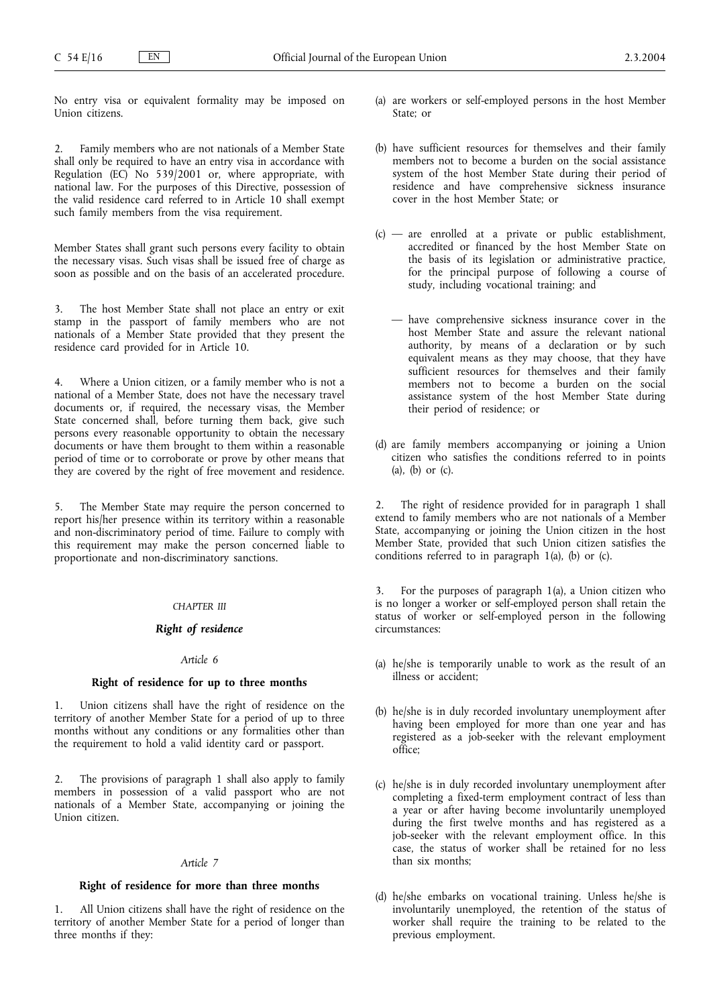No entry visa or equivalent formality may be imposed on Union citizens.

2. Family members who are not nationals of a Member State shall only be required to have an entry visa in accordance with Regulation (EC) No 539/2001 or, where appropriate, with national law. For the purposes of this Directive, possession of the valid residence card referred to in Article 10 shall exempt such family members from the visa requirement.

Member States shall grant such persons every facility to obtain the necessary visas. Such visas shall be issued free of charge as soon as possible and on the basis of an accelerated procedure.

3. The host Member State shall not place an entry or exit stamp in the passport of family members who are not nationals of a Member State provided that they present the residence card provided for in Article 10.

4. Where a Union citizen, or a family member who is not a national of a Member State, does not have the necessary travel documents or, if required, the necessary visas, the Member State concerned shall, before turning them back, give such persons every reasonable opportunity to obtain the necessary documents or have them brought to them within a reasonable period of time or to corroborate or prove by other means that they are covered by the right of free movement and residence.

5. The Member State may require the person concerned to report his/her presence within its territory within a reasonable and non-discriminatory period of time. Failure to comply with this requirement may make the person concerned liable to proportionate and non-discriminatory sanctions.

## *CHAPTER III*

## *Right of residence*

## *Article 6*

### **Right of residence for up to three months**

1. Union citizens shall have the right of residence on the territory of another Member State for a period of up to three months without any conditions or any formalities other than the requirement to hold a valid identity card or passport.

2. The provisions of paragraph 1 shall also apply to family members in possession of a valid passport who are not nationals of a Member State, accompanying or joining the Union citizen.

## *Article 7*

## **Right of residence for more than three months**

1. All Union citizens shall have the right of residence on the territory of another Member State for a period of longer than three months if they:

- (a) are workers or self-employed persons in the host Member State; or
- (b) have sufficient resources for themselves and their family members not to become a burden on the social assistance system of the host Member State during their period of residence and have comprehensive sickness insurance cover in the host Member State; or
- (c) are enrolled at a private or public establishment, accredited or financed by the host Member State on the basis of its legislation or administrative practice, for the principal purpose of following a course of study, including vocational training; and
	- have comprehensive sickness insurance cover in the host Member State and assure the relevant national authority, by means of a declaration or by such equivalent means as they may choose, that they have sufficient resources for themselves and their family members not to become a burden on the social assistance system of the host Member State during their period of residence; or
- (d) are family members accompanying or joining a Union citizen who satisfies the conditions referred to in points (a), (b) or (c).

2. The right of residence provided for in paragraph 1 shall extend to family members who are not nationals of a Member State, accompanying or joining the Union citizen in the host Member State, provided that such Union citizen satisfies the conditions referred to in paragraph 1(a), (b) or (c).

3. For the purposes of paragraph 1(a), a Union citizen who is no longer a worker or self-employed person shall retain the status of worker or self-employed person in the following circumstances:

- (a) he/she is temporarily unable to work as the result of an illness or accident;
- (b) he/she is in duly recorded involuntary unemployment after having been employed for more than one year and has registered as a job-seeker with the relevant employment office;
- (c) he/she is in duly recorded involuntary unemployment after completing a fixed-term employment contract of less than a year or after having become involuntarily unemployed during the first twelve months and has registered as a job-seeker with the relevant employment office. In this case, the status of worker shall be retained for no less than six months;
- (d) he/she embarks on vocational training. Unless he/she is involuntarily unemployed, the retention of the status of worker shall require the training to be related to the previous employment.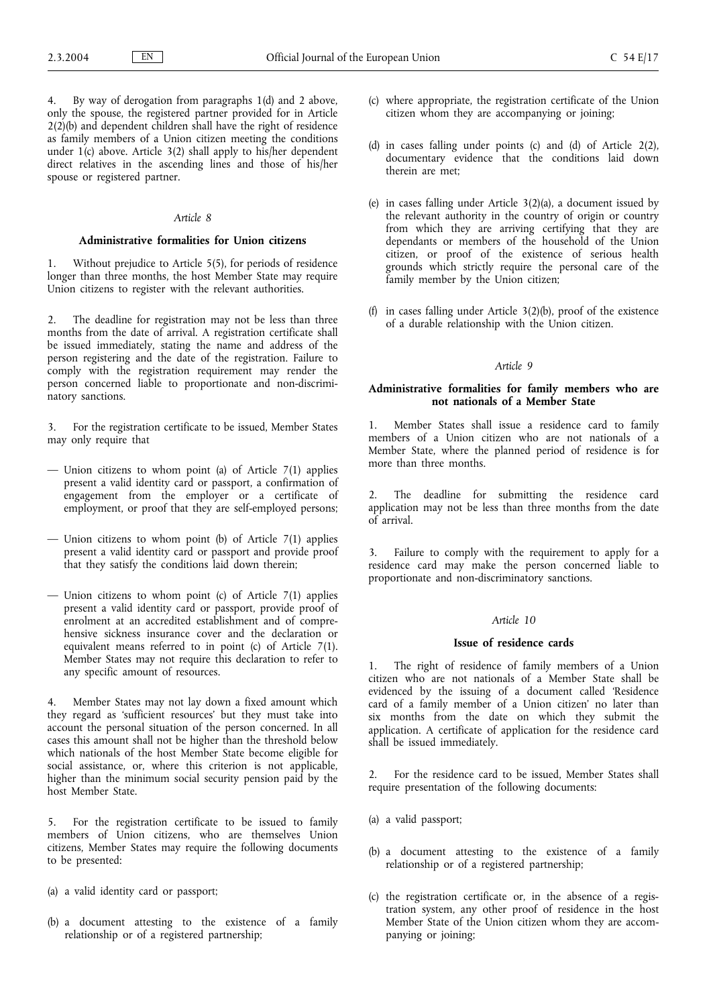By way of derogation from paragraphs 1(d) and 2 above, only the spouse, the registered partner provided for in Article  $2(2)(b)$  and dependent children shall have the right of residence as family members of a Union citizen meeting the conditions under  $1(c)$  above. Article 3(2) shall apply to his/her dependent direct relatives in the ascending lines and those of his/her spouse or registered partner.

# *Article 8*

# **Administrative formalities for Union citizens**

1. Without prejudice to Article 5(5), for periods of residence longer than three months, the host Member State may require Union citizens to register with the relevant authorities.

2. The deadline for registration may not be less than three months from the date of arrival. A registration certificate shall be issued immediately, stating the name and address of the person registering and the date of the registration. Failure to comply with the registration requirement may render the person concerned liable to proportionate and non-discriminatory sanctions.

3. For the registration certificate to be issued, Member States may only require that

- Union citizens to whom point (a) of Article 7(1) applies present a valid identity card or passport, a confirmation of engagement from the employer or a certificate of employment, or proof that they are self-employed persons;
- Union citizens to whom point (b) of Article  $7(1)$  applies present a valid identity card or passport and provide proof that they satisfy the conditions laid down therein;
- Union citizens to whom point (c) of Article  $7(1)$  applies present a valid identity card or passport, provide proof of enrolment at an accredited establishment and of comprehensive sickness insurance cover and the declaration or equivalent means referred to in point (c) of Article 7(1). Member States may not require this declaration to refer to any specific amount of resources.

4. Member States may not lay down a fixed amount which they regard as 'sufficient resources' but they must take into account the personal situation of the person concerned. In all cases this amount shall not be higher than the threshold below which nationals of the host Member State become eligible for social assistance, or, where this criterion is not applicable, higher than the minimum social security pension paid by the host Member State.

5. For the registration certificate to be issued to family members of Union citizens, who are themselves Union citizens, Member States may require the following documents to be presented:

(a) a valid identity card or passport;

(b) a document attesting to the existence of a family relationship or of a registered partnership;

- (c) where appropriate, the registration certificate of the Union citizen whom they are accompanying or joining;
- (d) in cases falling under points (c) and (d) of Article 2(2), documentary evidence that the conditions laid down therein are met;
- (e) in cases falling under Article 3(2)(a), a document issued by the relevant authority in the country of origin or country from which they are arriving certifying that they are dependants or members of the household of the Union citizen, or proof of the existence of serious health grounds which strictly require the personal care of the family member by the Union citizen;
- (f) in cases falling under Article 3(2)(b), proof of the existence of a durable relationship with the Union citizen.

## *Article 9*

# **Administrative formalities for family members who are not nationals of a Member State**

1. Member States shall issue a residence card to family members of a Union citizen who are not nationals of a Member State, where the planned period of residence is for more than three months.

2. The deadline for submitting the residence card application may not be less than three months from the date of arrival.

3. Failure to comply with the requirement to apply for a residence card may make the person concerned liable to proportionate and non-discriminatory sanctions.

# *Article 10*

#### **Issue of residence cards**

1. The right of residence of family members of a Union citizen who are not nationals of a Member State shall be evidenced by the issuing of a document called 'Residence card of a family member of a Union citizen' no later than six months from the date on which they submit the application. A certificate of application for the residence card shall be issued immediately.

2. For the residence card to be issued, Member States shall require presentation of the following documents:

- (a) a valid passport;
- (b) a document attesting to the existence of a family relationship or of a registered partnership;
- (c) the registration certificate or, in the absence of a registration system, any other proof of residence in the host Member State of the Union citizen whom they are accompanying or joining;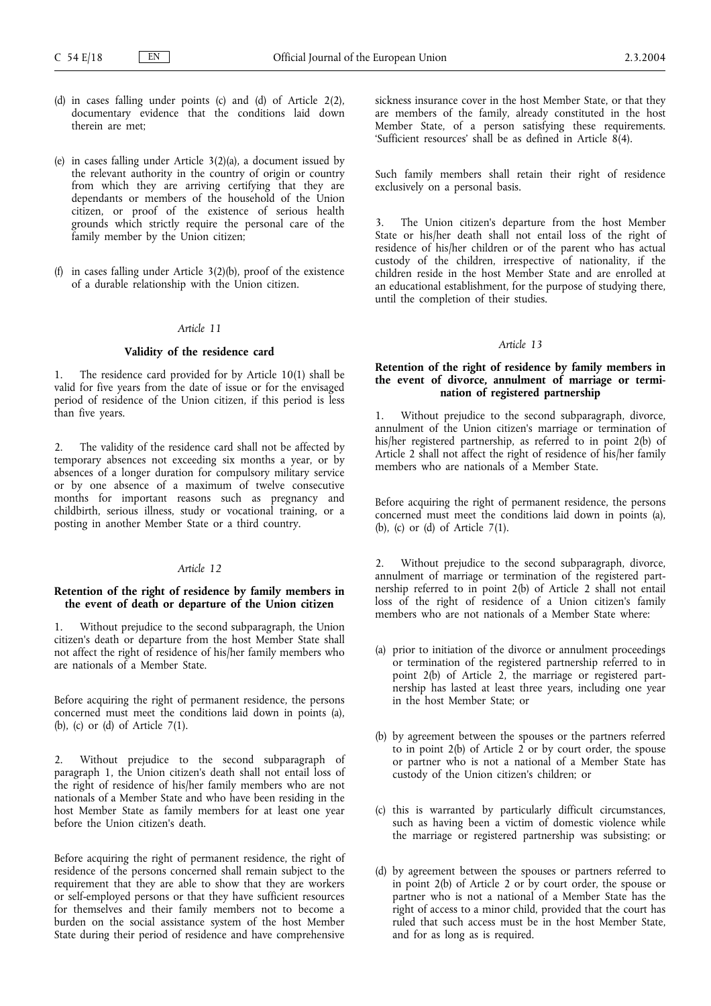- (d) in cases falling under points (c) and (d) of Article 2(2), documentary evidence that the conditions laid down therein are met;
- (e) in cases falling under Article 3(2)(a), a document issued by the relevant authority in the country of origin or country from which they are arriving certifying that they are dependants or members of the household of the Union citizen, or proof of the existence of serious health grounds which strictly require the personal care of the family member by the Union citizen;
- (f) in cases falling under Article 3(2)(b), proof of the existence of a durable relationship with the Union citizen.

#### *Article 11*

### **Validity of the residence card**

1. The residence card provided for by Article 10(1) shall be valid for five years from the date of issue or for the envisaged period of residence of the Union citizen, if this period is less than five years.

2. The validity of the residence card shall not be affected by temporary absences not exceeding six months a year, or by absences of a longer duration for compulsory military service or by one absence of a maximum of twelve consecutive months for important reasons such as pregnancy and childbirth, serious illness, study or vocational training, or a posting in another Member State or a third country.

## *Article 12*

## **Retention of the right of residence by family members in the event of death or departure of the Union citizen**

1. Without prejudice to the second subparagraph, the Union citizen's death or departure from the host Member State shall not affect the right of residence of his/her family members who are nationals of a Member State.

Before acquiring the right of permanent residence, the persons concerned must meet the conditions laid down in points (a), (b), (c) or (d) of Article 7(1).

2. Without prejudice to the second subparagraph of paragraph 1, the Union citizen's death shall not entail loss of the right of residence of his/her family members who are not nationals of a Member State and who have been residing in the host Member State as family members for at least one year before the Union citizen's death.

Before acquiring the right of permanent residence, the right of residence of the persons concerned shall remain subject to the requirement that they are able to show that they are workers or self-employed persons or that they have sufficient resources for themselves and their family members not to become a burden on the social assistance system of the host Member State during their period of residence and have comprehensive

sickness insurance cover in the host Member State, or that they are members of the family, already constituted in the host Member State, of a person satisfying these requirements. 'Sufficient resources' shall be as defined in Article 8(4).

Such family members shall retain their right of residence exclusively on a personal basis.

3. The Union citizen's departure from the host Member State or his/her death shall not entail loss of the right of residence of his/her children or of the parent who has actual custody of the children, irrespective of nationality, if the children reside in the host Member State and are enrolled at an educational establishment, for the purpose of studying there, until the completion of their studies.

### *Article 13*

## **Retention of the right of residence by family members in the event of divorce, annulment of marriage or termination of registered partnership**

1. Without prejudice to the second subparagraph, divorce, annulment of the Union citizen's marriage or termination of his/her registered partnership, as referred to in point 2(b) of Article 2 shall not affect the right of residence of his/her family members who are nationals of a Member State.

Before acquiring the right of permanent residence, the persons concerned must meet the conditions laid down in points (a), (b), (c) or (d) of Article 7(1).

2. Without prejudice to the second subparagraph, divorce, annulment of marriage or termination of the registered partnership referred to in point 2(b) of Article 2 shall not entail loss of the right of residence of a Union citizen's family members who are not nationals of a Member State where:

- (a) prior to initiation of the divorce or annulment proceedings or termination of the registered partnership referred to in point 2(b) of Article 2, the marriage or registered partnership has lasted at least three years, including one year in the host Member State; or
- (b) by agreement between the spouses or the partners referred to in point 2(b) of Article 2 or by court order, the spouse or partner who is not a national of a Member State has custody of the Union citizen's children; or
- (c) this is warranted by particularly difficult circumstances, such as having been a victim of domestic violence while the marriage or registered partnership was subsisting; or
- (d) by agreement between the spouses or partners referred to in point 2(b) of Article 2 or by court order, the spouse or partner who is not a national of a Member State has the right of access to a minor child, provided that the court has ruled that such access must be in the host Member State, and for as long as is required.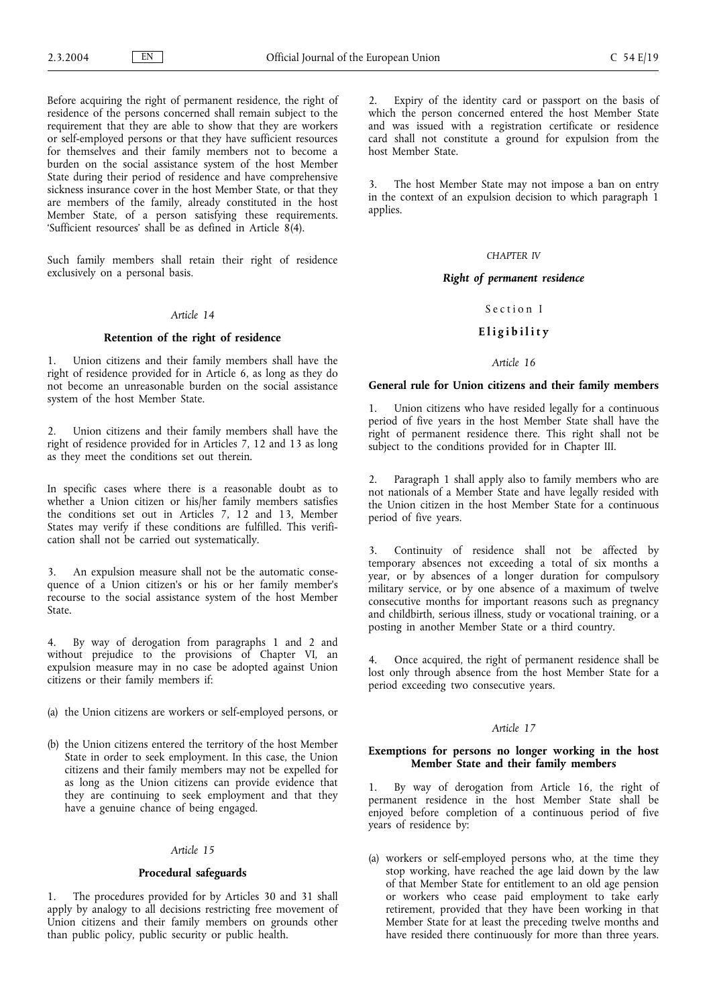Before acquiring the right of permanent residence, the right of residence of the persons concerned shall remain subject to the requirement that they are able to show that they are workers or self-employed persons or that they have sufficient resources for themselves and their family members not to become a burden on the social assistance system of the host Member State during their period of residence and have comprehensive sickness insurance cover in the host Member State, or that they are members of the family, already constituted in the host Member State, of a person satisfying these requirements. 'Sufficient resources' shall be as defined in Article  $\dot{8}(4)$ .

Such family members shall retain their right of residence exclusively on a personal basis.

### *Article 14*

### **Retention of the right of residence**

1. Union citizens and their family members shall have the right of residence provided for in Article 6, as long as they do not become an unreasonable burden on the social assistance system of the host Member State.

2. Union citizens and their family members shall have the right of residence provided for in Articles 7, 12 and 13 as long as they meet the conditions set out therein.

In specific cases where there is a reasonable doubt as to whether a Union citizen or his/her family members satisfies the conditions set out in Articles 7,  $12$  and 13, Member States may verify if these conditions are fulfilled. This verification shall not be carried out systematically.

3. An expulsion measure shall not be the automatic consequence of a Union citizen's or his or her family member's recourse to the social assistance system of the host Member State.

4. By way of derogation from paragraphs 1 and 2 and without prejudice to the provisions of Chapter VI, an expulsion measure may in no case be adopted against Union citizens or their family members if:

(a) the Union citizens are workers or self-employed persons, or

(b) the Union citizens entered the territory of the host Member State in order to seek employment. In this case, the Union citizens and their family members may not be expelled for as long as the Union citizens can provide evidence that they are continuing to seek employment and that they have a genuine chance of being engaged.

#### *Article 15*

## **Procedural safeguards**

1. The procedures provided for by Articles 30 and 31 shall apply by analogy to all decisions restricting free movement of Union citizens and their family members on grounds other than public policy, public security or public health.

2. Expiry of the identity card or passport on the basis of which the person concerned entered the host Member State and was issued with a registration certificate or residence card shall not constitute a ground for expulsion from the host Member State.

3. The host Member State may not impose a ban on entry in the context of an expulsion decision to which paragraph 1 applies.

### *CHAPTER IV*

#### *Right of permanent residence*

# Section I

# **Eligibility**

### *Article 16*

### **General rule for Union citizens and their family members**

Union citizens who have resided legally for a continuous period of five years in the host Member State shall have the right of permanent residence there. This right shall not be subject to the conditions provided for in Chapter III.

Paragraph 1 shall apply also to family members who are not nationals of a Member State and have legally resided with the Union citizen in the host Member State for a continuous period of five years.

3. Continuity of residence shall not be affected by temporary absences not exceeding a total of six months a year, or by absences of a longer duration for compulsory military service, or by one absence of a maximum of twelve consecutive months for important reasons such as pregnancy and childbirth, serious illness, study or vocational training, or a posting in another Member State or a third country.

4. Once acquired, the right of permanent residence shall be lost only through absence from the host Member State for a period exceeding two consecutive years.

### *Article 17*

# **Exemptions for persons no longer working in the host Member State and their family members**

1. By way of derogation from Article 16, the right of permanent residence in the host Member State shall be enjoyed before completion of a continuous period of five years of residence by:

(a) workers or self-employed persons who, at the time they stop working, have reached the age laid down by the law of that Member State for entitlement to an old age pension or workers who cease paid employment to take early retirement, provided that they have been working in that Member State for at least the preceding twelve months and have resided there continuously for more than three years.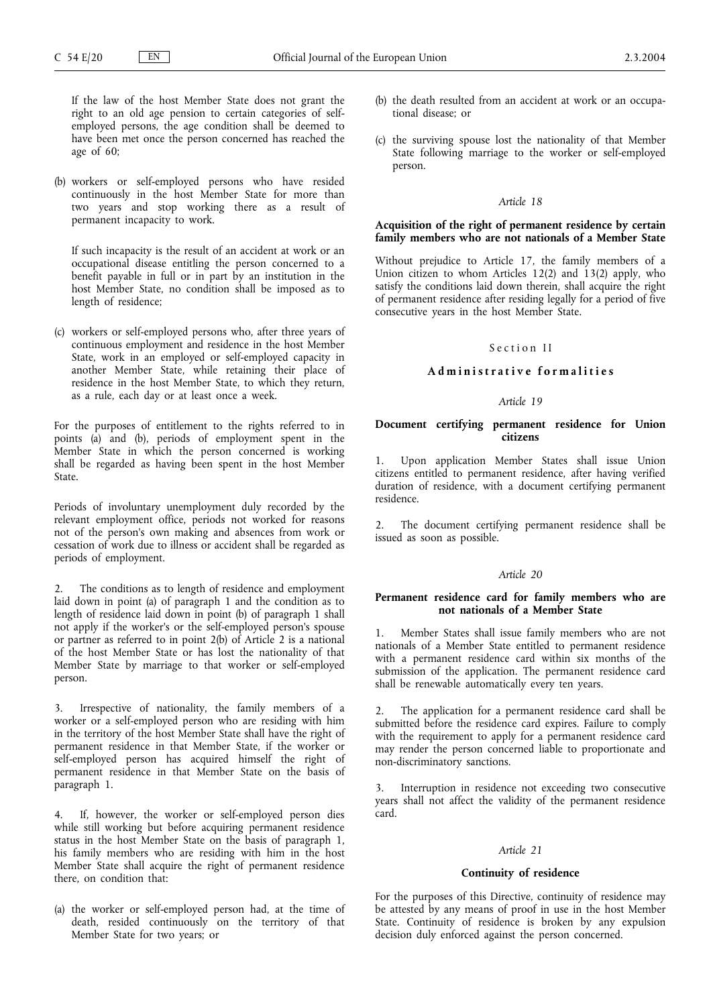If the law of the host Member State does not grant the right to an old age pension to certain categories of selfemployed persons, the age condition shall be deemed to have been met once the person concerned has reached the age of 60;

(b) workers or self-employed persons who have resided continuously in the host Member State for more than two years and stop working there as a result of permanent incapacity to work.

If such incapacity is the result of an accident at work or an occupational disease entitling the person concerned to a benefit payable in full or in part by an institution in the host Member State, no condition shall be imposed as to length of residence;

(c) workers or self-employed persons who, after three years of continuous employment and residence in the host Member State, work in an employed or self-employed capacity in another Member State, while retaining their place of residence in the host Member State, to which they return, as a rule, each day or at least once a week.

For the purposes of entitlement to the rights referred to in points (a) and (b), periods of employment spent in the Member State in which the person concerned is working shall be regarded as having been spent in the host Member State.

Periods of involuntary unemployment duly recorded by the relevant employment office, periods not worked for reasons not of the person's own making and absences from work or cessation of work due to illness or accident shall be regarded as periods of employment.

The conditions as to length of residence and employment laid down in point (a) of paragraph 1 and the condition as to length of residence laid down in point (b) of paragraph 1 shall not apply if the worker's or the self-employed person's spouse or partner as referred to in point 2(b) of Article 2 is a national of the host Member State or has lost the nationality of that Member State by marriage to that worker or self-employed person.

3. Irrespective of nationality, the family members of a worker or a self-employed person who are residing with him in the territory of the host Member State shall have the right of permanent residence in that Member State, if the worker or self-employed person has acquired himself the right of permanent residence in that Member State on the basis of paragraph 1.

4. If, however, the worker or self-employed person dies while still working but before acquiring permanent residence status in the host Member State on the basis of paragraph 1, his family members who are residing with him in the host Member State shall acquire the right of permanent residence there, on condition that:

(a) the worker or self-employed person had, at the time of death, resided continuously on the territory of that Member State for two years; or

- (b) the death resulted from an accident at work or an occupational disease; or
- (c) the surviving spouse lost the nationality of that Member State following marriage to the worker or self-employed person.

## *Article 18*

## **Acquisition of the right of permanent residence by certain family members who are not nationals of a Member State**

Without prejudice to Article 17, the family members of a Union citizen to whom Articles  $12(2)$  and  $13(2)$  apply, who satisfy the conditions laid down therein, shall acquire the right of permanent residence after residing legally for a period of five consecutive years in the host Member State.

# Section II

# **Administrative formalities**

## *Article 19*

# **Document certifying permanent residence for Union citizens**

1. Upon application Member States shall issue Union citizens entitled to permanent residence, after having verified duration of residence, with a document certifying permanent residence.

2. The document certifying permanent residence shall be issued as soon as possible.

## *Article 20*

# **Permanent residence card for family members who are not nationals of a Member State**

Member States shall issue family members who are not nationals of a Member State entitled to permanent residence with a permanent residence card within six months of the submission of the application. The permanent residence card shall be renewable automatically every ten years.

2. The application for a permanent residence card shall be submitted before the residence card expires. Failure to comply with the requirement to apply for a permanent residence card may render the person concerned liable to proportionate and non-discriminatory sanctions.

3. Interruption in residence not exceeding two consecutive years shall not affect the validity of the permanent residence card.

#### *Article 21*

## **Continuity of residence**

For the purposes of this Directive, continuity of residence may be attested by any means of proof in use in the host Member State. Continuity of residence is broken by any expulsion decision duly enforced against the person concerned.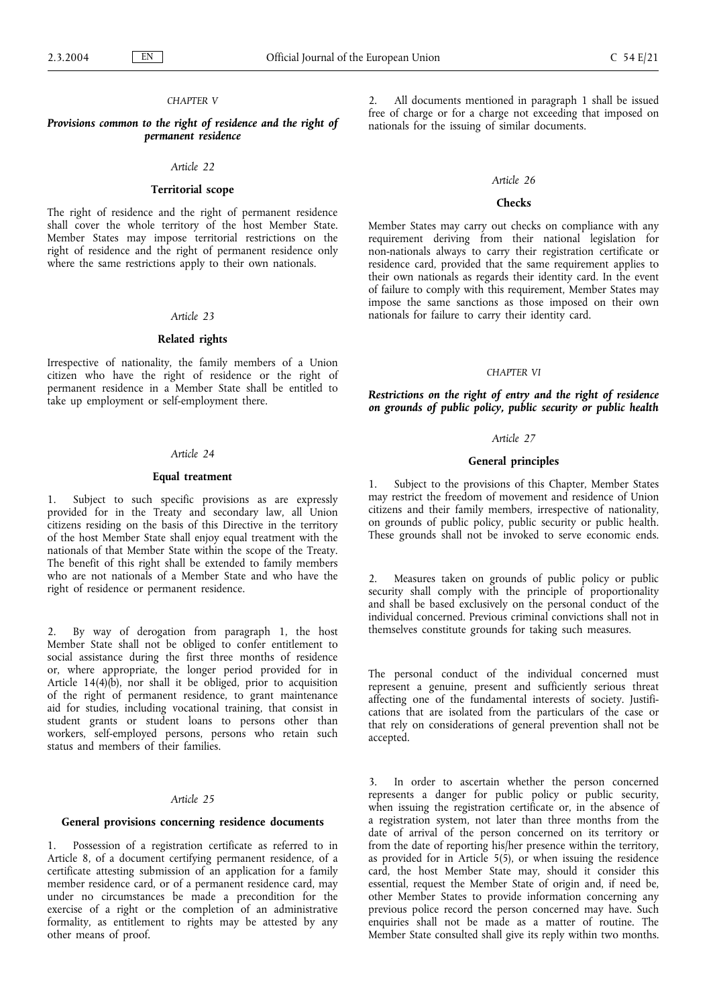### *CHAPTER V*

*Provisions common to the right of residence and the right of permanent residence*

### *Article 22*

## **Territorial scope**

The right of residence and the right of permanent residence shall cover the whole territory of the host Member State. Member States may impose territorial restrictions on the right of residence and the right of permanent residence only where the same restrictions apply to their own nationals.

#### *Article 23*

### **Related rights**

Irrespective of nationality, the family members of a Union citizen who have the right of residence or the right of permanent residence in a Member State shall be entitled to take up employment or self-employment there.

## *Article 24*

# **Equal treatment**

1. Subject to such specific provisions as are expressly provided for in the Treaty and secondary law, all Union citizens residing on the basis of this Directive in the territory of the host Member State shall enjoy equal treatment with the nationals of that Member State within the scope of the Treaty. The benefit of this right shall be extended to family members who are not nationals of a Member State and who have the right of residence or permanent residence.

2. By way of derogation from paragraph 1, the host Member State shall not be obliged to confer entitlement to social assistance during the first three months of residence or, where appropriate, the longer period provided for in Article 14(4)(b), nor shall it be obliged, prior to acquisition of the right of permanent residence, to grant maintenance aid for studies, including vocational training, that consist in student grants or student loans to persons other than workers, self-employed persons, persons who retain such status and members of their families.

### *Article 25*

## **General provisions concerning residence documents**

1. Possession of a registration certificate as referred to in Article 8, of a document certifying permanent residence, of a certificate attesting submission of an application for a family member residence card, or of a permanent residence card, may under no circumstances be made a precondition for the exercise of a right or the completion of an administrative formality, as entitlement to rights may be attested by any other means of proof.

All documents mentioned in paragraph 1 shall be issued free of charge or for a charge not exceeding that imposed on nationals for the issuing of similar documents.

#### *Article 26*

# **Checks**

Member States may carry out checks on compliance with any requirement deriving from their national legislation for non-nationals always to carry their registration certificate or residence card, provided that the same requirement applies to their own nationals as regards their identity card. In the event of failure to comply with this requirement, Member States may impose the same sanctions as those imposed on their own nationals for failure to carry their identity card.

## *CHAPTER VI*

*Restrictions on the right of entry and the right of residence on grounds of public policy, public security or public health*

### *Article 27*

#### **General principles**

1. Subject to the provisions of this Chapter, Member States may restrict the freedom of movement and residence of Union citizens and their family members, irrespective of nationality, on grounds of public policy, public security or public health. These grounds shall not be invoked to serve economic ends.

Measures taken on grounds of public policy or public security shall comply with the principle of proportionality and shall be based exclusively on the personal conduct of the individual concerned. Previous criminal convictions shall not in themselves constitute grounds for taking such measures.

The personal conduct of the individual concerned must represent a genuine, present and sufficiently serious threat affecting one of the fundamental interests of society. Justifications that are isolated from the particulars of the case or that rely on considerations of general prevention shall not be accepted.

3. In order to ascertain whether the person concerned represents a danger for public policy or public security, when issuing the registration certificate or, in the absence of a registration system, not later than three months from the date of arrival of the person concerned on its territory or from the date of reporting his/her presence within the territory, as provided for in Article 5(5), or when issuing the residence card, the host Member State may, should it consider this essential, request the Member State of origin and, if need be, other Member States to provide information concerning any previous police record the person concerned may have. Such enquiries shall not be made as a matter of routine. The Member State consulted shall give its reply within two months.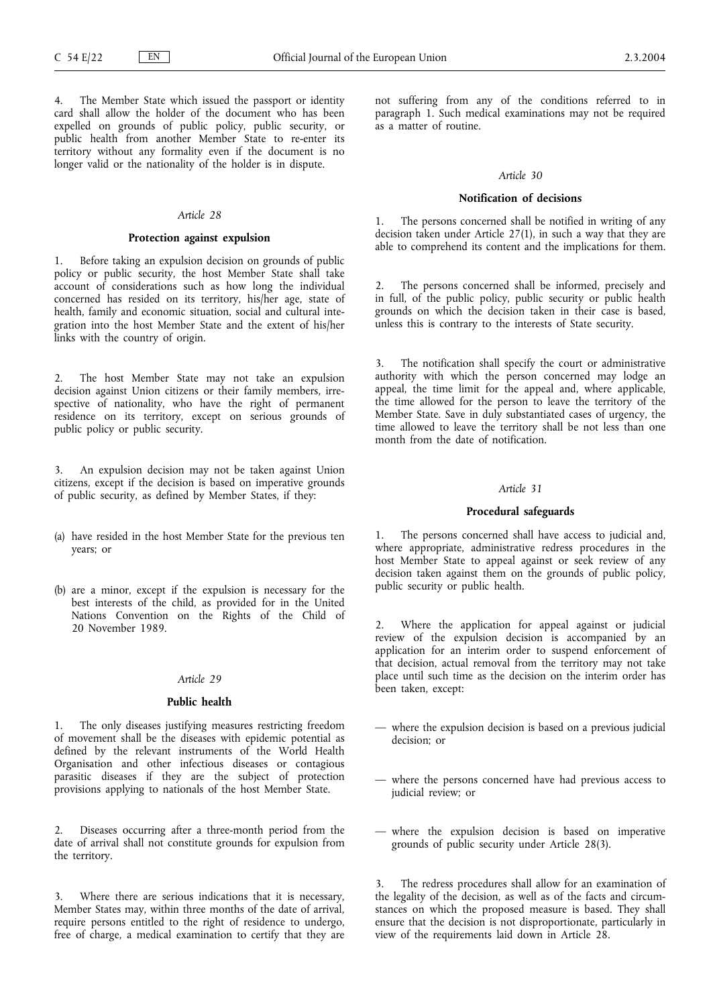The Member State which issued the passport or identity card shall allow the holder of the document who has been expelled on grounds of public policy, public security, or public health from another Member State to re-enter its territory without any formality even if the document is no longer valid or the nationality of the holder is in dispute.

## *Article 28*

## **Protection against expulsion**

1. Before taking an expulsion decision on grounds of public policy or public security, the host Member State shall take account of considerations such as how long the individual concerned has resided on its territory, his/her age, state of health, family and economic situation, social and cultural integration into the host Member State and the extent of his/her links with the country of origin.

The host Member State may not take an expulsion decision against Union citizens or their family members, irrespective of nationality, who have the right of permanent residence on its territory, except on serious grounds of public policy or public security.

3. An expulsion decision may not be taken against Union citizens, except if the decision is based on imperative grounds of public security, as defined by Member States, if they:

- (a) have resided in the host Member State for the previous ten years; or
- (b) are a minor, except if the expulsion is necessary for the best interests of the child, as provided for in the United Nations Convention on the Rights of the Child of 20 November 1989.

### *Article 29*

## **Public health**

1. The only diseases justifying measures restricting freedom of movement shall be the diseases with epidemic potential as defined by the relevant instruments of the World Health Organisation and other infectious diseases or contagious parasitic diseases if they are the subject of protection provisions applying to nationals of the host Member State.

2. Diseases occurring after a three-month period from the date of arrival shall not constitute grounds for expulsion from the territory.

Where there are serious indications that it is necessary, Member States may, within three months of the date of arrival, require persons entitled to the right of residence to undergo, free of charge, a medical examination to certify that they are

not suffering from any of the conditions referred to in paragraph 1. Such medical examinations may not be required as a matter of routine.

## *Article 30*

#### **Notification of decisions**

1. The persons concerned shall be notified in writing of any decision taken under Article 27(1), in such a way that they are able to comprehend its content and the implications for them.

2. The persons concerned shall be informed, precisely and in full, of the public policy, public security or public health grounds on which the decision taken in their case is based, unless this is contrary to the interests of State security.

3. The notification shall specify the court or administrative authority with which the person concerned may lodge an appeal, the time limit for the appeal and, where applicable, the time allowed for the person to leave the territory of the Member State. Save in duly substantiated cases of urgency, the time allowed to leave the territory shall be not less than one month from the date of notification.

### *Article 31*

#### **Procedural safeguards**

The persons concerned shall have access to judicial and, where appropriate, administrative redress procedures in the host Member State to appeal against or seek review of any decision taken against them on the grounds of public policy, public security or public health.

2. Where the application for appeal against or judicial review of the expulsion decision is accompanied by an application for an interim order to suspend enforcement of that decision, actual removal from the territory may not take place until such time as the decision on the interim order has been taken, except:

- where the expulsion decision is based on a previous judicial decision; or
- where the persons concerned have had previous access to judicial review; or
- where the expulsion decision is based on imperative grounds of public security under Article 28(3).

The redress procedures shall allow for an examination of the legality of the decision, as well as of the facts and circumstances on which the proposed measure is based. They shall ensure that the decision is not disproportionate, particularly in view of the requirements laid down in Article 28.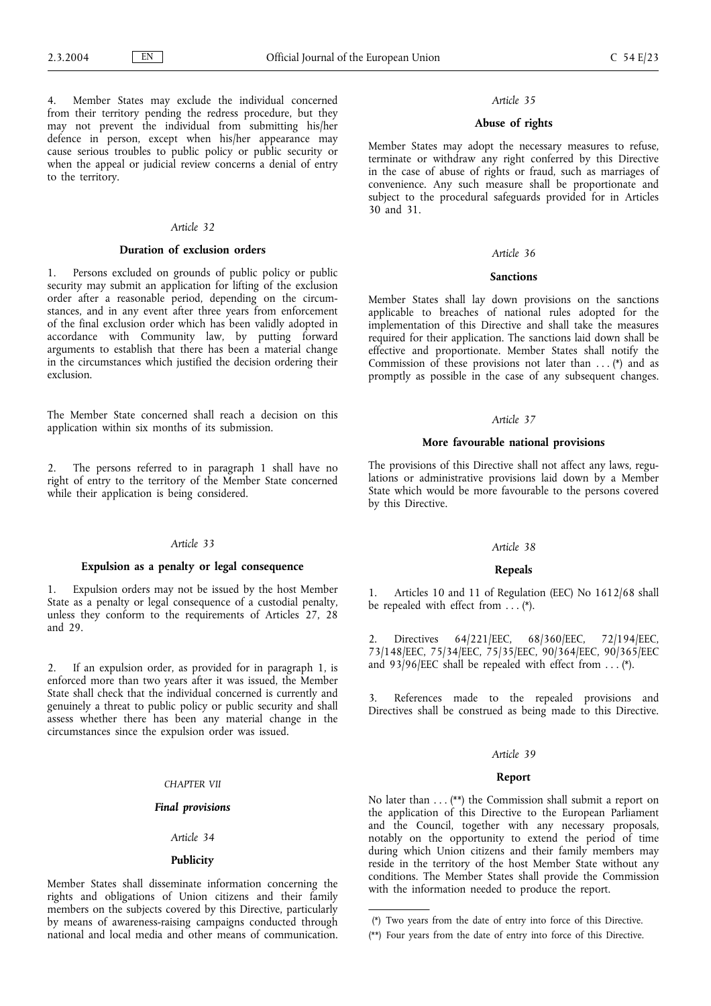4. Member States may exclude the individual concerned from their territory pending the redress procedure, but they may not prevent the individual from submitting his/her defence in person, except when his/her appearance may cause serious troubles to public policy or public security or when the appeal or judicial review concerns a denial of entry to the territory.

### *Article 32*

# **Duration of exclusion orders**

1. Persons excluded on grounds of public policy or public security may submit an application for lifting of the exclusion order after a reasonable period, depending on the circumstances, and in any event after three years from enforcement of the final exclusion order which has been validly adopted in accordance with Community law, by putting forward arguments to establish that there has been a material change in the circumstances which justified the decision ordering their exclusion.

The Member State concerned shall reach a decision on this application within six months of its submission.

2. The persons referred to in paragraph 1 shall have no right of entry to the territory of the Member State concerned while their application is being considered.

## *Article 33*

## **Expulsion as a penalty or legal consequence**

1. Expulsion orders may not be issued by the host Member State as a penalty or legal consequence of a custodial penalty, unless they conform to the requirements of Articles 27, 28 and 29.

2. If an expulsion order, as provided for in paragraph 1, is enforced more than two years after it was issued, the Member State shall check that the individual concerned is currently and genuinely a threat to public policy or public security and shall assess whether there has been any material change in the circumstances since the expulsion order was issued.

#### *CHAPTER VII*

#### *Final provisions*

### *Article 34*

### **Publicity**

Member States shall disseminate information concerning the rights and obligations of Union citizens and their family members on the subjects covered by this Directive, particularly by means of awareness-raising campaigns conducted through national and local media and other means of communication.

#### *Article 35*

# **Abuse of rights**

Member States may adopt the necessary measures to refuse, terminate or withdraw any right conferred by this Directive in the case of abuse of rights or fraud, such as marriages of convenience. Any such measure shall be proportionate and subject to the procedural safeguards provided for in Articles 30 and 31.

# *Article 36*

#### **Sanctions**

Member States shall lay down provisions on the sanctions applicable to breaches of national rules adopted for the implementation of this Directive and shall take the measures required for their application. The sanctions laid down shall be effective and proportionate. Member States shall notify the Commission of these provisions not later than  $\dots$  (\*) and as promptly as possible in the case of any subsequent changes.

#### *Article 37*

### **More favourable national provisions**

The provisions of this Directive shall not affect any laws, regulations or administrative provisions laid down by a Member State which would be more favourable to the persons covered by this Directive.

#### *Article 38*

#### **Repeals**

1. Articles 10 and 11 of Regulation (EEC) No 1612/68 shall be repealed with effect from . . . (\*).

Directives 64/221/EEC, 68/360/EEC, 72/194/EEC, 73/148/EEC, 75/34/EEC, 75/35/EEC, 90/364/EEC, 90/365/EEC and 93/96/EEC shall be repealed with effect from  $\dots$  (\*).

3. References made to the repealed provisions and Directives shall be construed as being made to this Directive.

#### *Article 39*

### **Report**

No later than . . . (\*\*) the Commission shall submit a report on the application of this Directive to the European Parliament and the Council, together with any necessary proposals, notably on the opportunity to extend the period of time during which Union citizens and their family members may reside in the territory of the host Member State without any conditions. The Member States shall provide the Commission with the information needed to produce the report.

<sup>(\*)</sup> Two years from the date of entry into force of this Directive.

<sup>(\*\*)</sup> Four years from the date of entry into force of this Directive.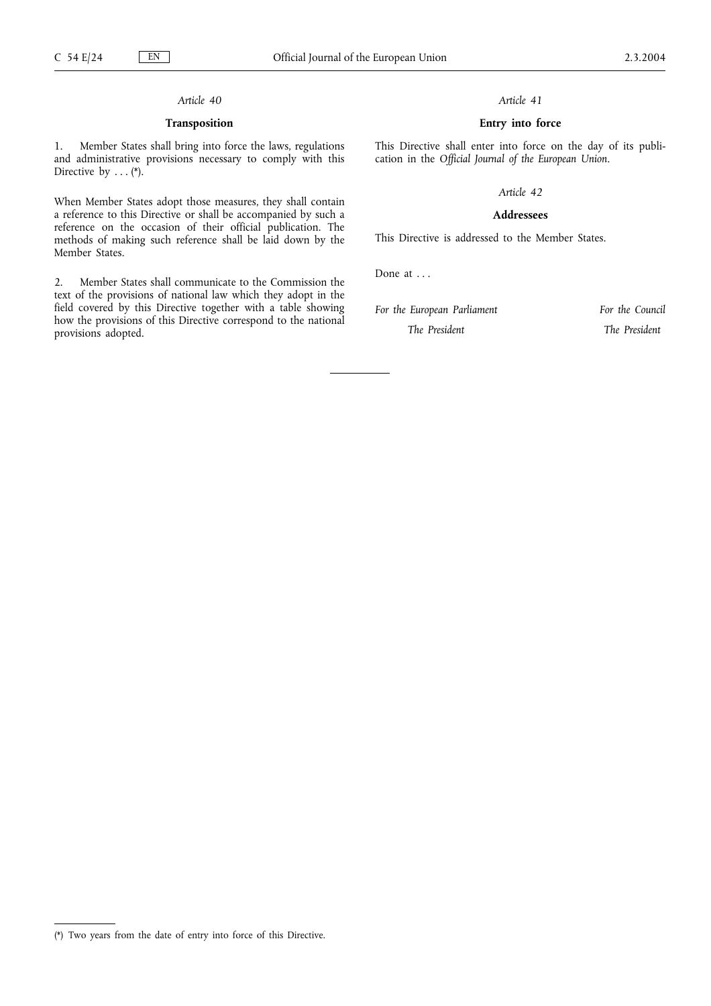# *Article 40*

## **Transposition**

1. Member States shall bring into force the laws, regulations and administrative provisions necessary to comply with this Directive by  $\dots$  (\*).

When Member States adopt those measures, they shall contain a reference to this Directive or shall be accompanied by such a reference on the occasion of their official publication. The methods of making such reference shall be laid down by the Member States.

2. Member States shall communicate to the Commission the text of the provisions of national law which they adopt in the field covered by this Directive together with a table showing how the provisions of this Directive correspond to the national provisions adopted.

## *Article 41*

# **Entry into force**

This Directive shall enter into force on the day of its publication in the *Official Journal of the European Union*.

## *Article 42*

# **Addressees**

This Directive is addressed to the Member States.

Done at ...

*For the European Parliament The President*

*For the Council The President*

<sup>(\*)</sup> Two years from the date of entry into force of this Directive.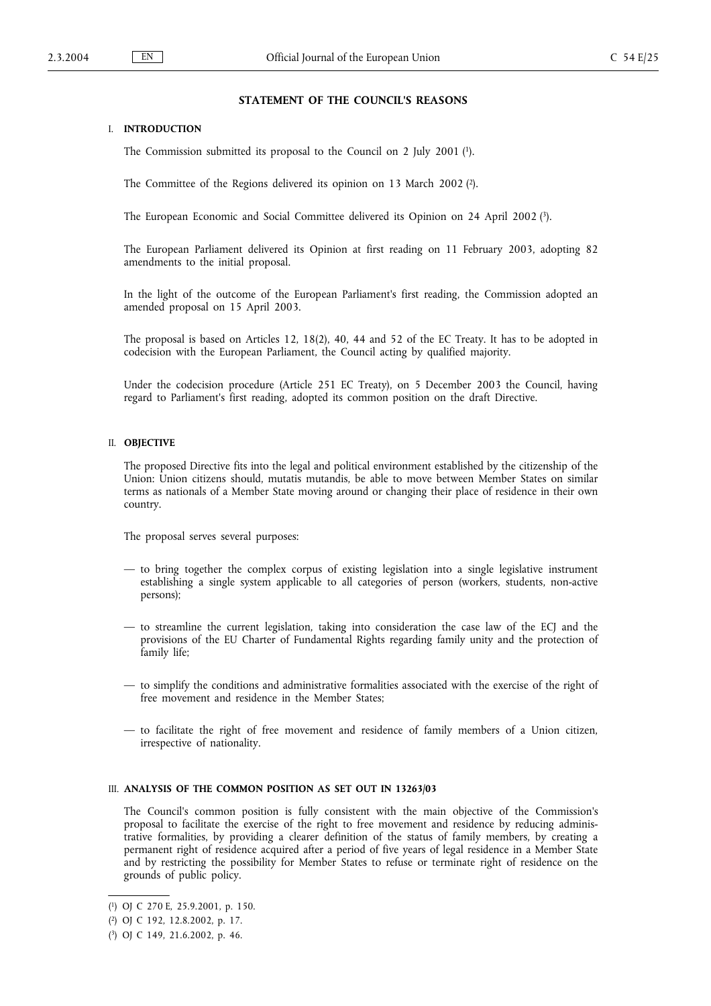# **STATEMENT OF THE COUNCIL'S REASONS**

### I. **INTRODUCTION**

The Commission submitted its proposal to the Council on 2 July 2001 (1).

The Committee of the Regions delivered its opinion on 13 March 2002 (2).

The European Economic and Social Committee delivered its Opinion on 24 April 2002 (3).

The European Parliament delivered its Opinion at first reading on 11 February 2003, adopting 82 amendments to the initial proposal.

In the light of the outcome of the European Parliament's first reading, the Commission adopted an amended proposal on 15 April 2003.

The proposal is based on Articles 12, 18(2), 40, 44 and 52 of the EC Treaty. It has to be adopted in codecision with the European Parliament, the Council acting by qualified majority.

Under the codecision procedure (Article 251 EC Treaty), on 5 December 2003 the Council, having regard to Parliament's first reading, adopted its common position on the draft Directive.

### II. **OBJECTIVE**

The proposed Directive fits into the legal and political environment established by the citizenship of the Union: Union citizens should, mutatis mutandis, be able to move between Member States on similar terms as nationals of a Member State moving around or changing their place of residence in their own country.

The proposal serves several purposes:

- to bring together the complex corpus of existing legislation into a single legislative instrument establishing a single system applicable to all categories of person (workers, students, non-active persons);
- to streamline the current legislation, taking into consideration the case law of the ECJ and the provisions of the EU Charter of Fundamental Rights regarding family unity and the protection of family life;
- to simplify the conditions and administrative formalities associated with the exercise of the right of free movement and residence in the Member States;
- to facilitate the right of free movement and residence of family members of a Union citizen, irrespective of nationality.

#### III. **ANALYSIS OF THE COMMON POSITION AS SET OUT IN 13263/03**

The Council's common position is fully consistent with the main objective of the Commission's proposal to facilitate the exercise of the right to free movement and residence by reducing administrative formalities, by providing a clearer definition of the status of family members, by creating a permanent right of residence acquired after a period of five years of legal residence in a Member State and by restricting the possibility for Member States to refuse or terminate right of residence on the grounds of public policy.

<sup>(</sup> 1) OJ C 270 E, 25.9.2001, p. 150.

<sup>(</sup> 2) OJ C 192, 12.8.2002, p. 17.

<sup>(</sup> 3) OJ C 149, 21.6.2002, p. 46.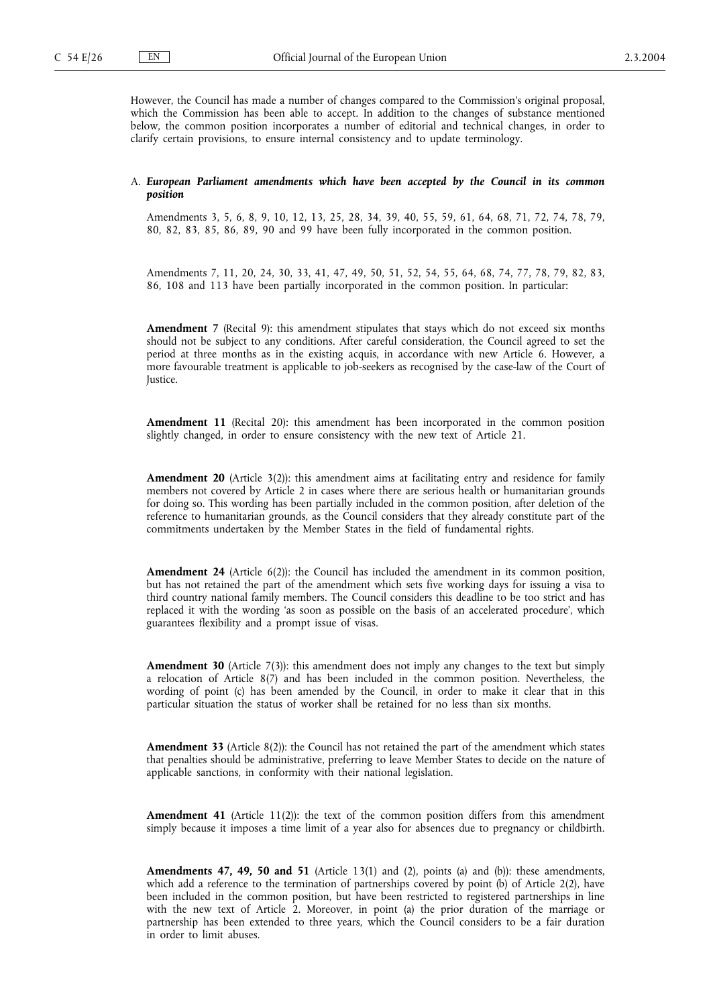However, the Council has made a number of changes compared to the Commission's original proposal, which the Commission has been able to accept. In addition to the changes of substance mentioned below, the common position incorporates a number of editorial and technical changes, in order to clarify certain provisions, to ensure internal consistency and to update terminology.

## A. *European Parliament amendments which have been accepted by the Council in its common position*

Amendments 3, 5, 6, 8, 9, 10, 12, 13, 25, 28, 34, 39, 40, 55, 59, 61, 64, 68, 71, 72, 74, 78, 79, 80, 82, 83, 85, 86, 89, 90 and 99 have been fully incorporated in the common position.

Amendments 7, 11, 20, 24, 30, 33, 41, 47, 49, 50, 51, 52, 54, 55, 64, 68, 74, 77, 78, 79, 82, 83, 86, 108 and 113 have been partially incorporated in the common position. In particular:

**Amendment 7** (Recital 9): this amendment stipulates that stays which do not exceed six months should not be subject to any conditions. After careful consideration, the Council agreed to set the period at three months as in the existing acquis, in accordance with new Article 6. However, a more favourable treatment is applicable to job-seekers as recognised by the case-law of the Court of Justice.

**Amendment 11** (Recital 20): this amendment has been incorporated in the common position slightly changed, in order to ensure consistency with the new text of Article 21.

**Amendment 20** (Article 3(2)): this amendment aims at facilitating entry and residence for family members not covered by Article 2 in cases where there are serious health or humanitarian grounds for doing so. This wording has been partially included in the common position, after deletion of the reference to humanitarian grounds, as the Council considers that they already constitute part of the commitments undertaken by the Member States in the field of fundamental rights.

**Amendment 24** (Article 6(2)): the Council has included the amendment in its common position, but has not retained the part of the amendment which sets five working days for issuing a visa to third country national family members. The Council considers this deadline to be too strict and has replaced it with the wording 'as soon as possible on the basis of an accelerated procedure', which guarantees flexibility and a prompt issue of visas.

**Amendment 30** (Article 7(3)): this amendment does not imply any changes to the text but simply a relocation of Article 8(7) and has been included in the common position. Nevertheless, the wording of point (c) has been amended by the Council, in order to make it clear that in this particular situation the status of worker shall be retained for no less than six months.

**Amendment 33** (Article 8(2)): the Council has not retained the part of the amendment which states that penalties should be administrative, preferring to leave Member States to decide on the nature of applicable sanctions, in conformity with their national legislation.

**Amendment 41** (Article 11(2)): the text of the common position differs from this amendment simply because it imposes a time limit of a year also for absences due to pregnancy or childbirth.

**Amendments 47, 49, 50 and 51** (Article 13(1) and (2), points (a) and (b)): these amendments, which add a reference to the termination of partnerships covered by point (b) of Article 2(2), have been included in the common position, but have been restricted to registered partnerships in line with the new text of Article 2. Moreover, in point (a) the prior duration of the marriage or partnership has been extended to three years, which the Council considers to be a fair duration in order to limit abuses.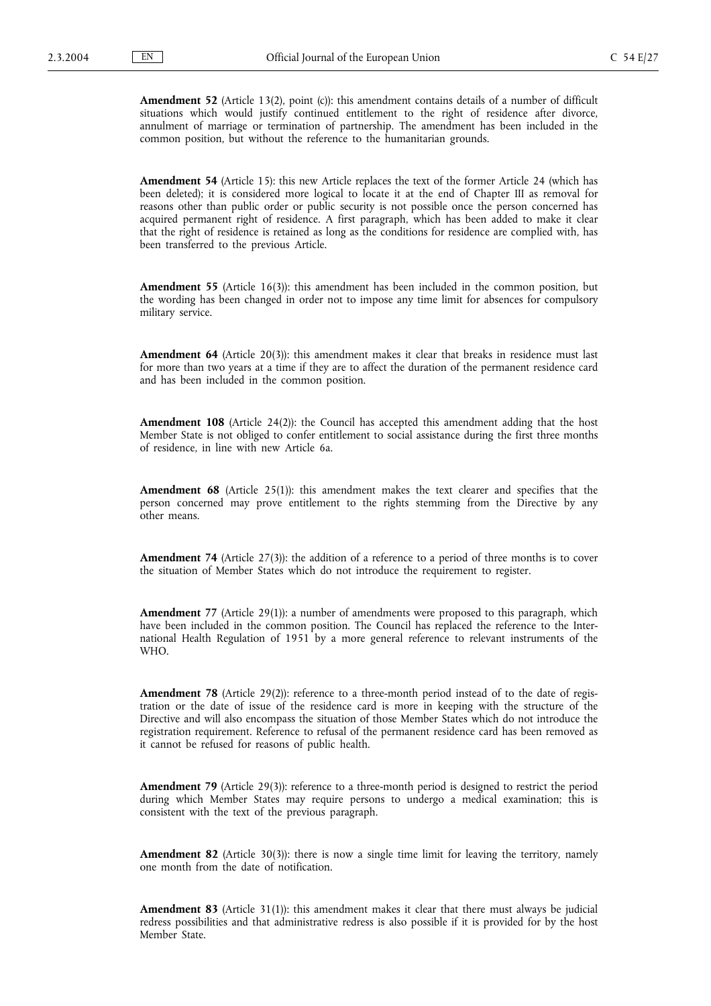**Amendment 52** (Article 13(2), point (c)): this amendment contains details of a number of difficult situations which would justify continued entitlement to the right of residence after divorce, annulment of marriage or termination of partnership. The amendment has been included in the common position, but without the reference to the humanitarian grounds.

**Amendment 54** (Article 15): this new Article replaces the text of the former Article 24 (which has been deleted); it is considered more logical to locate it at the end of Chapter III as removal for reasons other than public order or public security is not possible once the person concerned has acquired permanent right of residence. A first paragraph, which has been added to make it clear that the right of residence is retained as long as the conditions for residence are complied with, has been transferred to the previous Article.

**Amendment 55** (Article 16(3)): this amendment has been included in the common position, but the wording has been changed in order not to impose any time limit for absences for compulsory military service.

**Amendment 64** (Article 20(3)): this amendment makes it clear that breaks in residence must last for more than two years at a time if they are to affect the duration of the permanent residence card and has been included in the common position.

**Amendment 108** (Article 24(2)): the Council has accepted this amendment adding that the host Member State is not obliged to confer entitlement to social assistance during the first three months of residence, in line with new Article 6a.

**Amendment 68** (Article 25(1)): this amendment makes the text clearer and specifies that the person concerned may prove entitlement to the rights stemming from the Directive by any other means.

**Amendment 74** (Article 27(3)): the addition of a reference to a period of three months is to cover the situation of Member States which do not introduce the requirement to register.

**Amendment** 77 (Article 29(1)): a number of amendments were proposed to this paragraph, which have been included in the common position. The Council has replaced the reference to the International Health Regulation of 1951 by a more general reference to relevant instruments of the WHO.

**Amendment 78** (Article 29(2)): reference to a three-month period instead of to the date of registration or the date of issue of the residence card is more in keeping with the structure of the Directive and will also encompass the situation of those Member States which do not introduce the registration requirement. Reference to refusal of the permanent residence card has been removed as it cannot be refused for reasons of public health.

**Amendment 79** (Article 29(3)): reference to a three-month period is designed to restrict the period during which Member States may require persons to undergo a medical examination; this is consistent with the text of the previous paragraph.

**Amendment 82** (Article 30(3)): there is now a single time limit for leaving the territory, namely one month from the date of notification.

**Amendment 83** (Article 31(1)): this amendment makes it clear that there must always be judicial redress possibilities and that administrative redress is also possible if it is provided for by the host Member State.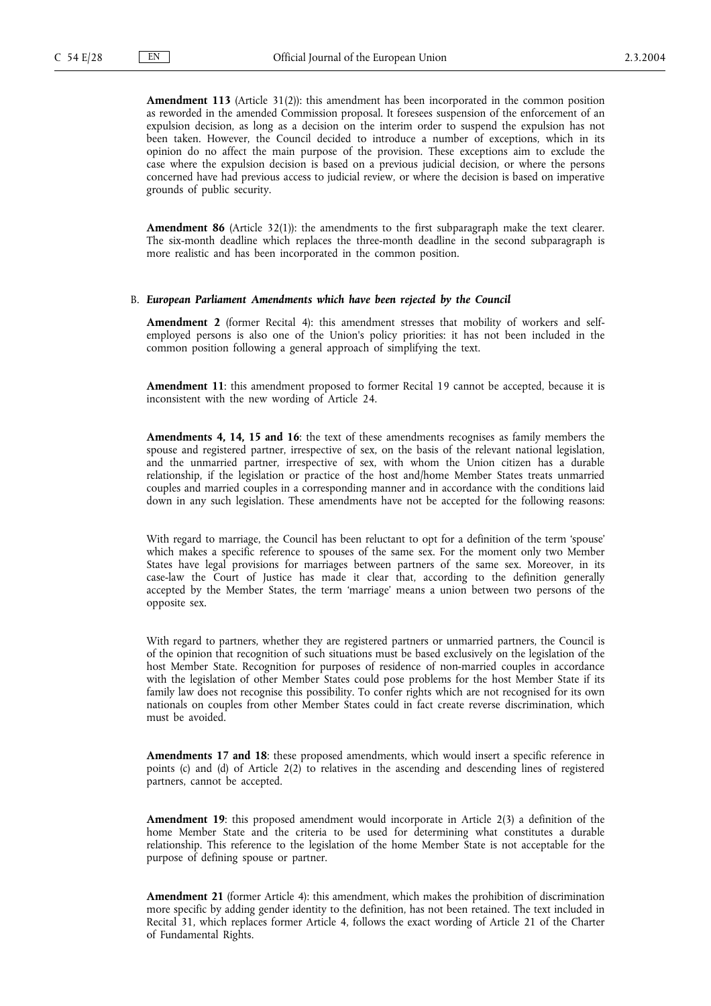**Amendment 113** (Article 31(2)): this amendment has been incorporated in the common position as reworded in the amended Commission proposal. It foresees suspension of the enforcement of an expulsion decision, as long as a decision on the interim order to suspend the expulsion has not been taken. However, the Council decided to introduce a number of exceptions, which in its opinion do no affect the main purpose of the provision. These exceptions aim to exclude the case where the expulsion decision is based on a previous judicial decision, or where the persons concerned have had previous access to judicial review, or where the decision is based on imperative grounds of public security.

**Amendment 86** (Article 32(1)): the amendments to the first subparagraph make the text clearer. The six-month deadline which replaces the three-month deadline in the second subparagraph is more realistic and has been incorporated in the common position.

### B. *European Parliament Amendments which have been rejected by the Council*

**Amendment 2** (former Recital 4): this amendment stresses that mobility of workers and selfemployed persons is also one of the Union's policy priorities: it has not been included in the common position following a general approach of simplifying the text.

**Amendment 11**: this amendment proposed to former Recital 19 cannot be accepted, because it is inconsistent with the new wording of Article 24.

**Amendments 4, 14, 15 and 16**: the text of these amendments recognises as family members the spouse and registered partner, irrespective of sex, on the basis of the relevant national legislation, and the unmarried partner, irrespective of sex, with whom the Union citizen has a durable relationship, if the legislation or practice of the host and/home Member States treats unmarried couples and married couples in a corresponding manner and in accordance with the conditions laid down in any such legislation. These amendments have not be accepted for the following reasons:

With regard to marriage, the Council has been reluctant to opt for a definition of the term 'spouse' which makes a specific reference to spouses of the same sex. For the moment only two Member States have legal provisions for marriages between partners of the same sex. Moreover, in its case-law the Court of Justice has made it clear that, according to the definition generally accepted by the Member States, the term 'marriage' means a union between two persons of the opposite sex.

With regard to partners, whether they are registered partners or unmarried partners, the Council is of the opinion that recognition of such situations must be based exclusively on the legislation of the host Member State. Recognition for purposes of residence of non-married couples in accordance with the legislation of other Member States could pose problems for the host Member State if its family law does not recognise this possibility. To confer rights which are not recognised for its own nationals on couples from other Member States could in fact create reverse discrimination, which must be avoided.

**Amendments 17 and 18**: these proposed amendments, which would insert a specific reference in points (c) and (d) of Article 2(2) to relatives in the ascending and descending lines of registered partners, cannot be accepted.

**Amendment 19**: this proposed amendment would incorporate in Article 2(3) a definition of the home Member State and the criteria to be used for determining what constitutes a durable relationship. This reference to the legislation of the home Member State is not acceptable for the purpose of defining spouse or partner.

**Amendment 21** (former Article 4): this amendment, which makes the prohibition of discrimination more specific by adding gender identity to the definition, has not been retained. The text included in Recital 31, which replaces former Article 4, follows the exact wording of Article 21 of the Charter of Fundamental Rights.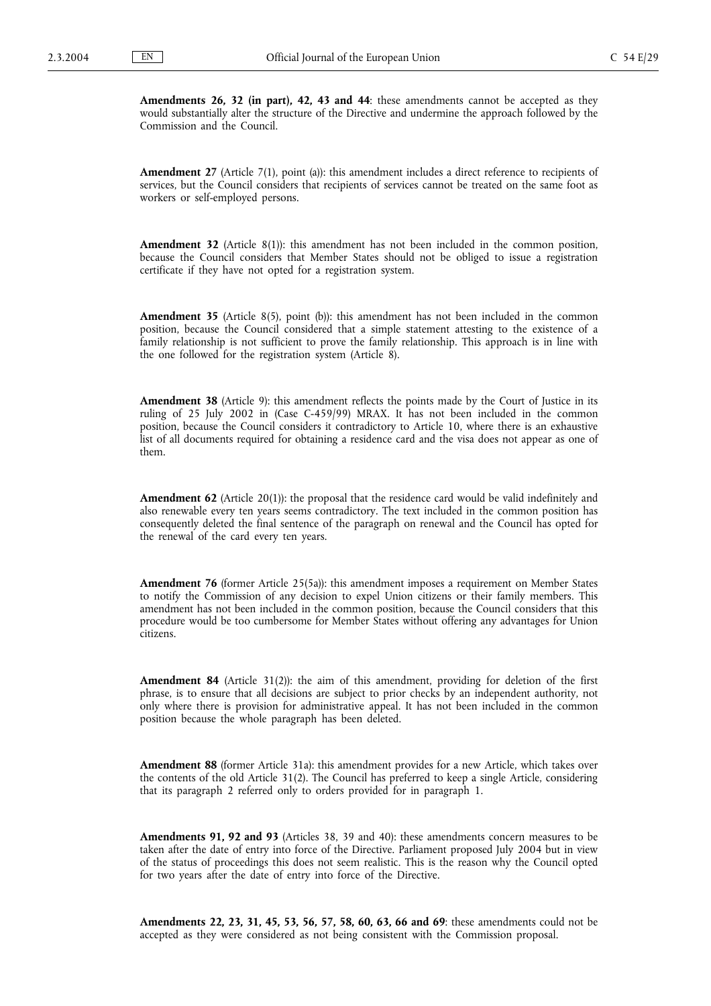**Amendments 26, 32 (in part), 42, 43 and 44**: these amendments cannot be accepted as they would substantially alter the structure of the Directive and undermine the approach followed by the Commission and the Council.

**Amendment 27** (Article 7(1), point (a)): this amendment includes a direct reference to recipients of services, but the Council considers that recipients of services cannot be treated on the same foot as workers or self-employed persons.

**Amendment 32** (Article 8(1)): this amendment has not been included in the common position, because the Council considers that Member States should not be obliged to issue a registration certificate if they have not opted for a registration system.

Amendment 35 (Article 8(5), point (b)): this amendment has not been included in the common position, because the Council considered that a simple statement attesting to the existence of a family relationship is not sufficient to prove the family relationship. This approach is in line with the one followed for the registration system (Article 8).

**Amendment 38** (Article 9): this amendment reflects the points made by the Court of Justice in its ruling of 25 July 2002 in (Case C-459/99) MRAX. It has not been included in the common position, because the Council considers it contradictory to Article 10, where there is an exhaustive list of all documents required for obtaining a residence card and the visa does not appear as one of them.

**Amendment 62** (Article 20(1)): the proposal that the residence card would be valid indefinitely and also renewable every ten years seems contradictory. The text included in the common position has consequently deleted the final sentence of the paragraph on renewal and the Council has opted for the renewal of the card every ten years.

**Amendment 76** (former Article 25(5a)): this amendment imposes a requirement on Member States to notify the Commission of any decision to expel Union citizens or their family members. This amendment has not been included in the common position, because the Council considers that this procedure would be too cumbersome for Member States without offering any advantages for Union citizens.

**Amendment 84** (Article 31(2)): the aim of this amendment, providing for deletion of the first phrase, is to ensure that all decisions are subject to prior checks by an independent authority, not only where there is provision for administrative appeal. It has not been included in the common position because the whole paragraph has been deleted.

**Amendment 88** (former Article 31a): this amendment provides for a new Article, which takes over the contents of the old Article 31(2). The Council has preferred to keep a single Article, considering that its paragraph 2 referred only to orders provided for in paragraph 1.

**Amendments 91, 92 and 93** (Articles 38, 39 and 40): these amendments concern measures to be taken after the date of entry into force of the Directive. Parliament proposed July 2004 but in view of the status of proceedings this does not seem realistic. This is the reason why the Council opted for two years after the date of entry into force of the Directive.

**Amendments 22, 23, 31, 45, 53, 56, 57, 58, 60, 63, 66 and 69**: these amendments could not be accepted as they were considered as not being consistent with the Commission proposal.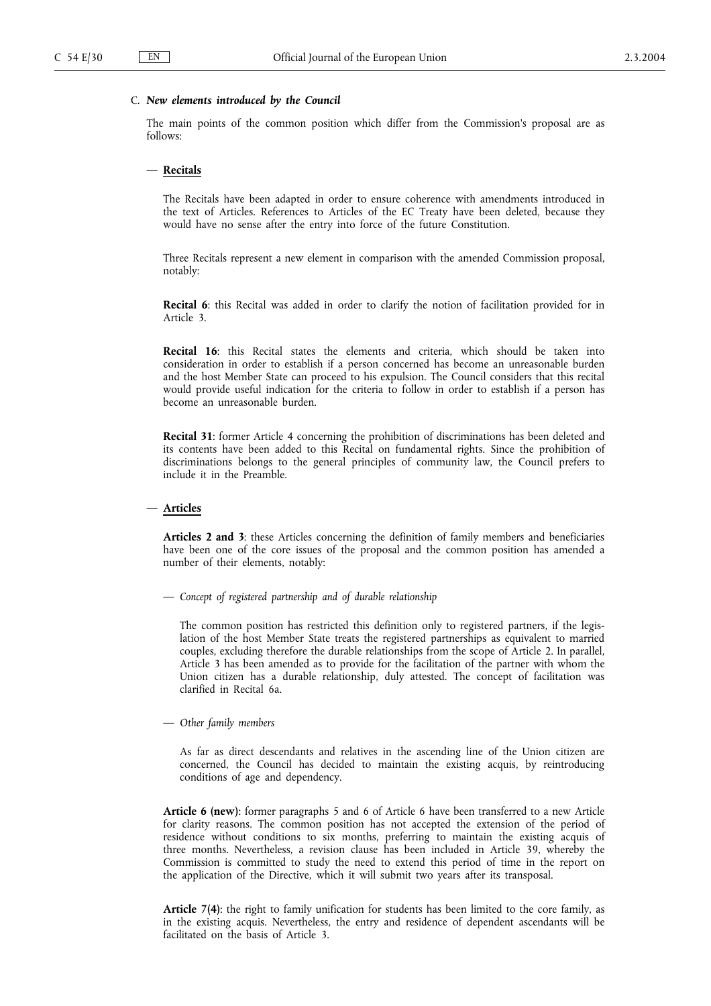### C. *New elements introduced by the Council*

The main points of the common position which differ from the Commission's proposal are as follows:

#### — **Recitals**

The Recitals have been adapted in order to ensure coherence with amendments introduced in the text of Articles. References to Articles of the EC Treaty have been deleted, because they would have no sense after the entry into force of the future Constitution.

Three Recitals represent a new element in comparison with the amended Commission proposal, notably:

**Recital 6**: this Recital was added in order to clarify the notion of facilitation provided for in Article 3.

**Recital 16**: this Recital states the elements and criteria, which should be taken into consideration in order to establish if a person concerned has become an unreasonable burden and the host Member State can proceed to his expulsion. The Council considers that this recital would provide useful indication for the criteria to follow in order to establish if a person has become an unreasonable burden.

**Recital 31**: former Article 4 concerning the prohibition of discriminations has been deleted and its contents have been added to this Recital on fundamental rights. Since the prohibition of discriminations belongs to the general principles of community law, the Council prefers to include it in the Preamble.

— **Articles**

**Articles 2 and 3**: these Articles concerning the definition of family members and beneficiaries have been one of the core issues of the proposal and the common position has amended a number of their elements, notably:

— *Concept of registered partnership and of durable relationship*

The common position has restricted this definition only to registered partners, if the legislation of the host Member State treats the registered partnerships as equivalent to married couples, excluding therefore the durable relationships from the scope of Article 2. In parallel, Article 3 has been amended as to provide for the facilitation of the partner with whom the Union citizen has a durable relationship, duly attested. The concept of facilitation was clarified in Recital 6a.

— *Other family members*

As far as direct descendants and relatives in the ascending line of the Union citizen are concerned, the Council has decided to maintain the existing acquis, by reintroducing conditions of age and dependency.

**Article 6 (new)**: former paragraphs 5 and 6 of Article 6 have been transferred to a new Article for clarity reasons. The common position has not accepted the extension of the period of residence without conditions to six months, preferring to maintain the existing acquis of three months. Nevertheless, a revision clause has been included in Article 39, whereby the Commission is committed to study the need to extend this period of time in the report on the application of the Directive, which it will submit two years after its transposal.

**Article 7(4)**: the right to family unification for students has been limited to the core family, as in the existing acquis. Nevertheless, the entry and residence of dependent ascendants will be facilitated on the basis of Article 3.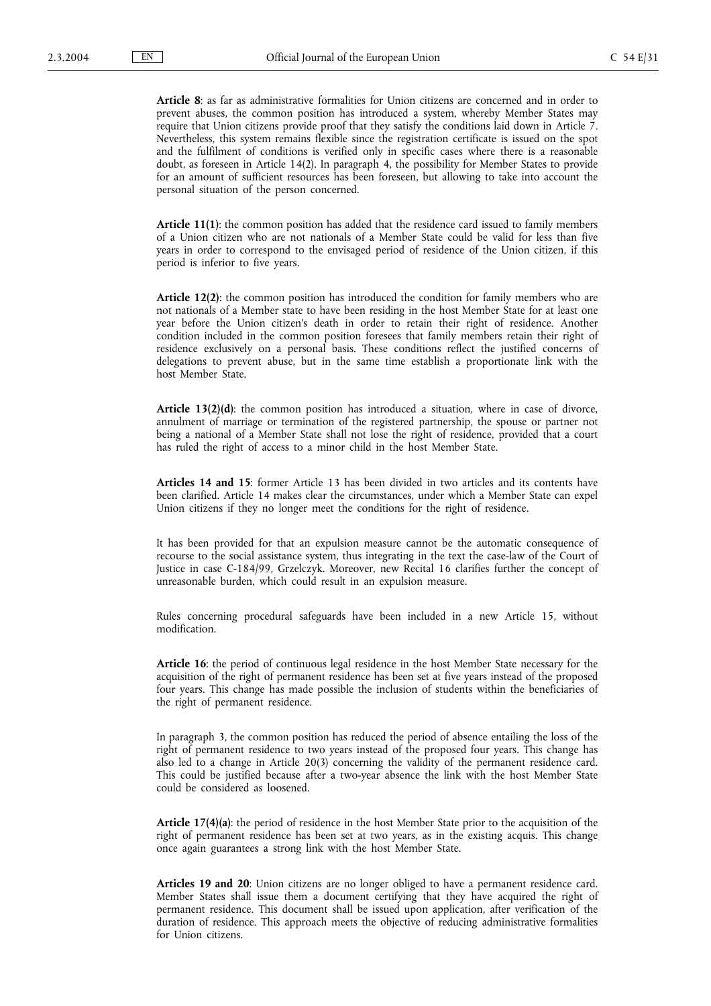**Article 8**: as far as administrative formalities for Union citizens are concerned and in order to prevent abuses, the common position has introduced a system, whereby Member States may require that Union citizens provide proof that they satisfy the conditions laid down in Article 7. Nevertheless, this system remains flexible since the registration certificate is issued on the spot and the fulfilment of conditions is verified only in specific cases where there is a reasonable doubt, as foreseen in Article 14(2). In paragraph 4, the possibility for Member States to provide for an amount of sufficient resources has been foreseen, but allowing to take into account the personal situation of the person concerned.

**Article 11(1)**: the common position has added that the residence card issued to family members of a Union citizen who are not nationals of a Member State could be valid for less than five years in order to correspond to the envisaged period of residence of the Union citizen, if this period is inferior to five years.

**Article 12(2)**: the common position has introduced the condition for family members who are not nationals of a Member state to have been residing in the host Member State for at least one year before the Union citizen's death in order to retain their right of residence. Another condition included in the common position foresees that family members retain their right of residence exclusively on a personal basis. These conditions reflect the justified concerns of delegations to prevent abuse, but in the same time establish a proportionate link with the host Member State.

**Article 13(2)(d)**: the common position has introduced a situation, where in case of divorce, annulment of marriage or termination of the registered partnership, the spouse or partner not being a national of a Member State shall not lose the right of residence, provided that a court has ruled the right of access to a minor child in the host Member State.

**Articles 14 and 15**: former Article 13 has been divided in two articles and its contents have been clarified. Article 14 makes clear the circumstances, under which a Member State can expel Union citizens if they no longer meet the conditions for the right of residence.

It has been provided for that an expulsion measure cannot be the automatic consequence of recourse to the social assistance system, thus integrating in the text the case-law of the Court of Justice in case C-184/99, Grzelczyk. Moreover, new Recital 16 clarifies further the concept of unreasonable burden, which could result in an expulsion measure.

Rules concerning procedural safeguards have been included in a new Article 15, without modification.

**Article 16**: the period of continuous legal residence in the host Member State necessary for the acquisition of the right of permanent residence has been set at five years instead of the proposed four years. This change has made possible the inclusion of students within the beneficiaries of the right of permanent residence.

In paragraph 3, the common position has reduced the period of absence entailing the loss of the right of permanent residence to two years instead of the proposed four years. This change has also led to a change in Article 20(3) concerning the validity of the permanent residence card. This could be justified because after a two-year absence the link with the host Member State could be considered as loosened.

**Article 17(4)(a)**: the period of residence in the host Member State prior to the acquisition of the right of permanent residence has been set at two years, as in the existing acquis. This change once again guarantees a strong link with the host Member State.

**Articles 19 and 20**: Union citizens are no longer obliged to have a permanent residence card. Member States shall issue them a document certifying that they have acquired the right of permanent residence. This document shall be issued upon application, after verification of the duration of residence. This approach meets the objective of reducing administrative formalities for Union citizens.